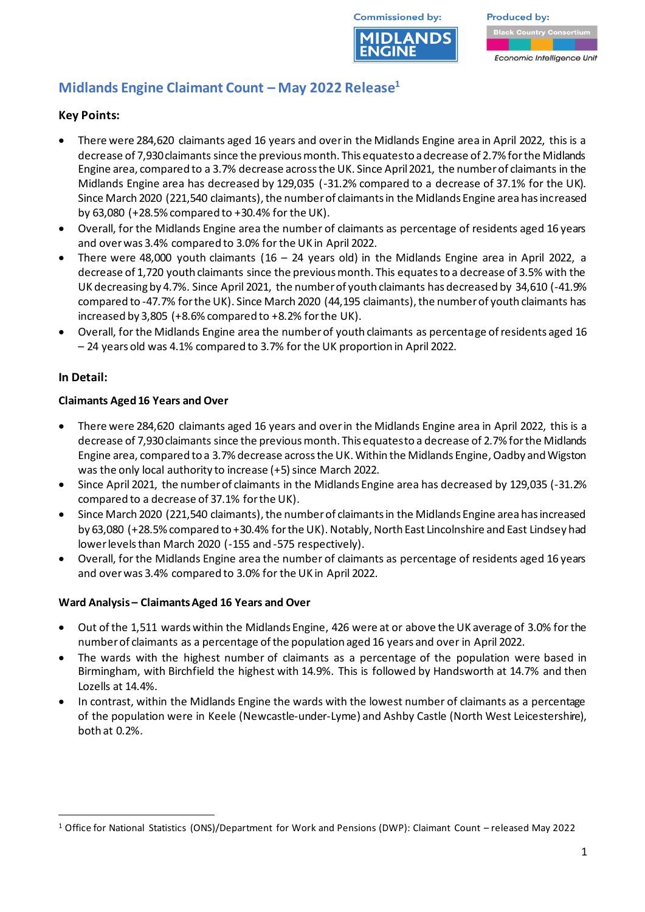

**Produced by:** 

#### Economic Intelligence Unit

# **Midlands Engine Claimant Count – May 2022 Release<sup>1</sup>**

## **Key Points:**

- There were 284,620 claimants aged 16 years and over in the Midlands Engine area in April 2022, this is a decrease of 7,930 claimants since the previous month. This equates to a decrease of 2.7% for the Midlands Engine area, compared to a 3.7% decrease across the UK. Since April2021, the number of claimants in the Midlands Engine area has decreased by 129,035 (-31.2% compared to a decrease of 37.1% for the UK). Since March 2020 (221,540 claimants), the number of claimants in the Midlands Engine area has increased by 63,080 (+28.5% compared to +30.4% for the UK).
- Overall, for the Midlands Engine area the number of claimants as percentage of residents aged 16 years and over was 3.4% compared to 3.0% for the UK in April 2022.
- There were 48,000 youth claimants (16 24 years old) in the Midlands Engine area in April 2022, a decrease of 1,720 youth claimants since the previous month. This equates to a decrease of 3.5% with the UK decreasing by 4.7%. Since April 2021, the number of youth claimants has decreased by 34,610 (-41.9% compared to -47.7% for the UK). Since March 2020 (44,195 claimants), the number of youth claimants has increased by 3,805 (+8.6% compared to +8.2% for the UK).
- Overall, for the Midlands Engine area the number of youth claimants as percentage of residents aged 16 – 24 years old was 4.1% compared to 3.7% for the UK proportion in April 2022.

### **In Detail:**

### **Claimants Aged 16 Years and Over**

- There were 284,620 claimants aged 16 years and over in the Midlands Engine area in April 2022, this is a decrease of 7,930claimants since the previous month. This equates to a decrease of 2.7% for the Midlands Engine area, compared to a 3.7% decrease across the UK. Within the Midlands Engine, Oadby and Wigston was the only local authority to increase (+5) since March 2022.
- Since April 2021, the number of claimants in the Midlands Engine area has decreased by 129,035 (-31.2% compared to a decrease of 37.1% for the UK).
- Since March 2020 (221,540 claimants), the number of claimants in the Midlands Engine area has increased by 63,080 (+28.5% compared to +30.4% for the UK). Notably, North East Lincolnshire and East Lindsey had lower levels than March 2020 (-155 and -575 respectively).
- Overall, for the Midlands Engine area the number of claimants as percentage of residents aged 16 years and over was 3.4% compared to 3.0% for the UK in April 2022.

### **Ward Analysis – Claimants Aged 16 Years and Over**

- Out of the 1,511 wards within the Midlands Engine, 426 were at or above the UK average of 3.0% for the number of claimants as a percentage of the population aged 16 years and over in April 2022.
- The wards with the highest number of claimants as a percentage of the population were based in Birmingham, with Birchfield the highest with 14.9%. This is followed by Handsworth at 14.7% and then Lozells at 14.4%.
- In contrast, within the Midlands Engine the wards with the lowest number of claimants as a percentage of the population were in Keele (Newcastle-under-Lyme) and Ashby Castle (North West Leicestershire), both at 0.2%.

<sup>1</sup> Office for National Statistics (ONS)/Department for Work and Pensions (DWP): Claimant Count – released May 2022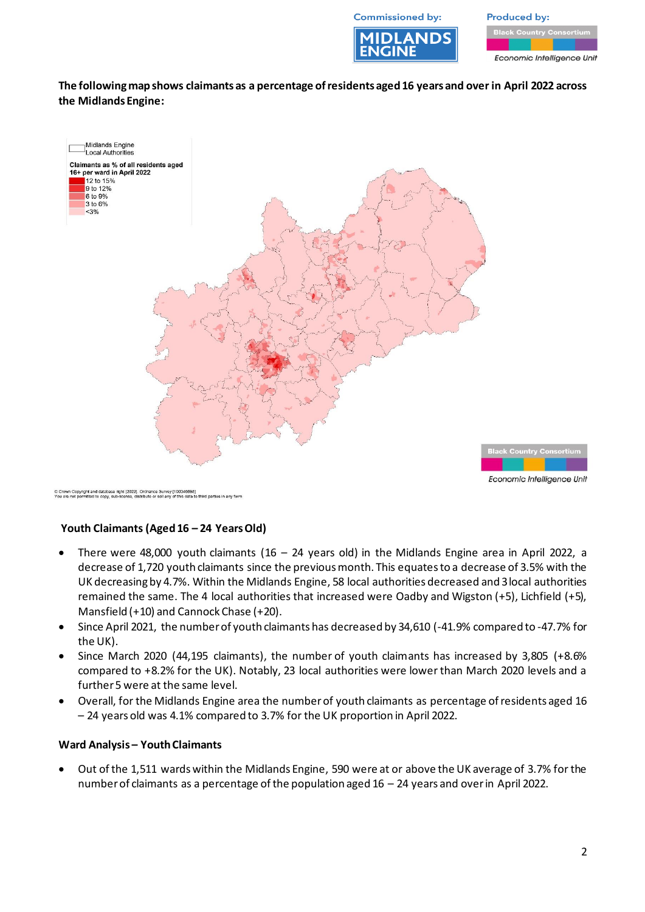**Commissioned by:** 



**Produced by:** 

Economic Intelligence Unit

**The following map shows claimants as a percentage of residents aged 16 years and over in April 2022 across the Midlands Engine:**



C Crown Copyright and database right [2022]. Ordnance Survey [100046698]<br>You are not permitted to copy, sub-license, distribute or sell any of this data to third parties in any form

### **Youth Claimants (Aged 16 – 24 Years Old)**

- There were 48,000 youth claimants (16 24 years old) in the Midlands Engine area in April 2022, a decrease of 1,720 youth claimants since the previous month. This equates to a decrease of 3.5% with the UK decreasing by 4.7%. Within the Midlands Engine, 58 local authorities decreased and 3local authorities remained the same. The 4 local authorities that increased were Oadby and Wigston (+5), Lichfield (+5), Mansfield (+10) and Cannock Chase (+20).
- Since April 2021, the number of youth claimants has decreased by 34,610 (-41.9% compared to -47.7% for the UK).
- Since March 2020 (44,195 claimants), the number of youth claimants has increased by 3,805 (+8.6% compared to +8.2% for the UK). Notably, 23 local authorities were lower than March 2020 levels and a further 5 were at the same level.
- Overall, for the Midlands Engine area the number of youth claimants as percentage of residents aged 16 – 24 years old was 4.1% compared to 3.7% for the UK proportion in April 2022.

#### **Ward Analysis – Youth Claimants**

• Out of the 1,511 wards within the Midlands Engine, 590 were at or above the UK average of 3.7% for the number of claimants as a percentage of the population aged 16 – 24 years and over in April 2022.